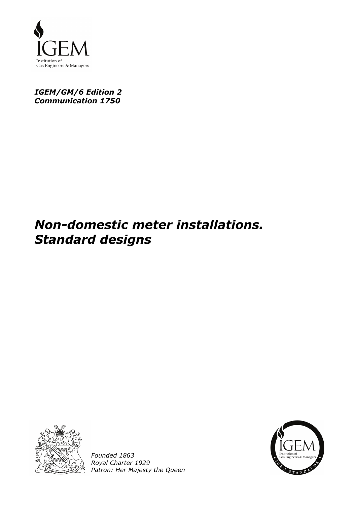

# *IGEM/GM/6 Edition 2 Communication 1750*

# *Non-domestic meter installations. Standard designs*



*Founded 1863 Royal Charter 1929 Patron: Her Majesty the Queen* 

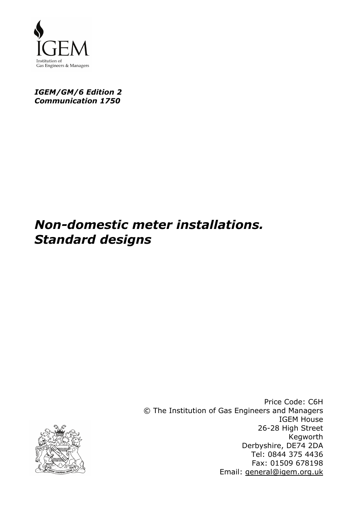

### *IGEM/GM/6 Edition 2 Communication 1750*

# *Non-domestic meter installations. Standard designs*

Price Code: C6H © The Institution of Gas Engineers and Managers IGEM House 26-28 High Street Kegworth Derbyshire, DE74 2DA Tel: 0844 375 4436 Fax: 01509 678198 Email: general@igem.org.uk

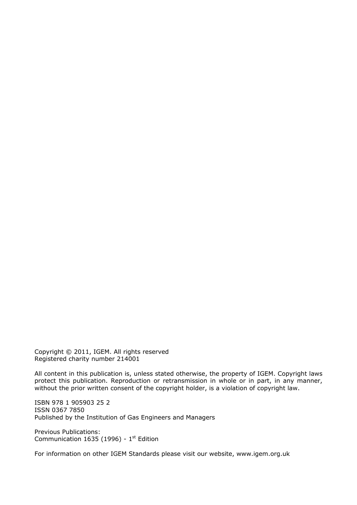Copyright © 2011, IGEM. All rights reserved Registered charity number 214001

All content in this publication is, unless stated otherwise, the property of IGEM. Copyright laws protect this publication. Reproduction or retransmission in whole or in part, in any manner, without the prior written consent of the copyright holder, is a violation of copyright law.

ISBN 978 1 905903 25 2 ISSN 0367 7850 Published by the Institution of Gas Engineers and Managers

Previous Publications: Communication 1635 (1996) -  $1<sup>st</sup>$  Edition

For information on other IGEM Standards please visit our website, www.igem.org.uk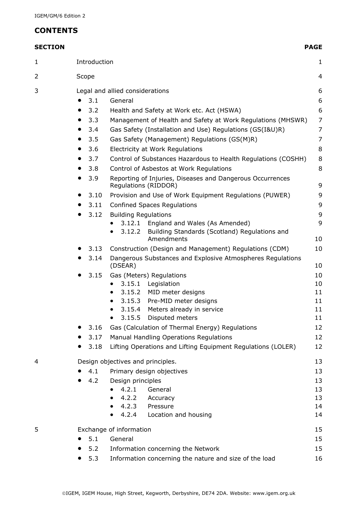# **CONTENTS**

| ٠ |  |
|---|--|
|---|--|

| <b>SECTION</b> |           |                                 |                                                                                    | <b>PAGE</b>    |  |  |  |
|----------------|-----------|---------------------------------|------------------------------------------------------------------------------------|----------------|--|--|--|
| $\mathbf{1}$   |           | Introduction                    |                                                                                    | 1              |  |  |  |
| 2              |           | Scope                           |                                                                                    | 4              |  |  |  |
| 3              |           | Legal and allied considerations |                                                                                    |                |  |  |  |
|                |           | 3.1                             | General                                                                            | 6              |  |  |  |
|                |           | 3.2                             | Health and Safety at Work etc. Act (HSWA)                                          | 6              |  |  |  |
|                | $\bullet$ | 3.3                             | Management of Health and Safety at Work Regulations (MHSWR)                        | $\overline{7}$ |  |  |  |
|                |           | 3.4                             | Gas Safety (Installation and Use) Regulations (GS(I&U)R)                           | $\overline{7}$ |  |  |  |
|                |           | 3.5                             | Gas Safety (Management) Regulations (GS(M)R)                                       | $\overline{7}$ |  |  |  |
|                |           | 3.6                             | Electricity at Work Regulations                                                    | 8              |  |  |  |
|                |           | 3.7                             | Control of Substances Hazardous to Health Regulations (COSHH)                      | $\,8\,$        |  |  |  |
|                |           | 3.8                             | Control of Asbestos at Work Regulations                                            | $\,8\,$        |  |  |  |
|                | $\bullet$ | 3.9                             | Reporting of Injuries, Diseases and Dangerous Occurrences<br>Regulations (RIDDOR)  | 9              |  |  |  |
|                | $\bullet$ | 3.10                            | Provision and Use of Work Equipment Regulations (PUWER)                            | 9              |  |  |  |
|                |           | 3.11                            | <b>Confined Spaces Regulations</b>                                                 | 9              |  |  |  |
|                | $\bullet$ | 3.12                            | <b>Building Regulations</b>                                                        | 9              |  |  |  |
|                |           |                                 | 3.12.1<br>England and Wales (As Amended)                                           | 9              |  |  |  |
|                |           |                                 | Building Standards (Scotland) Regulations and<br>3.12.2<br>$\bullet$<br>Amendments | 10             |  |  |  |
|                |           | 3.13                            | Construction (Design and Management) Regulations (CDM)                             | 10             |  |  |  |
|                |           | 3.14                            | Dangerous Substances and Explosive Atmospheres Regulations<br>(DSEAR)              | 10             |  |  |  |
|                |           | 3.15                            | Gas (Meters) Regulations                                                           | 10             |  |  |  |
|                |           |                                 | 3.15.1 Legislation<br>$\bullet$                                                    | 10             |  |  |  |
|                |           |                                 | 3.15.2 MID meter designs                                                           | 11             |  |  |  |
|                |           |                                 | 3.15.3 Pre-MID meter designs                                                       | 11             |  |  |  |
|                |           |                                 | Meters already in service<br>3.15.4                                                | 11             |  |  |  |
|                |           |                                 | 3.15.5<br>Disputed meters                                                          | 11             |  |  |  |
|                |           | 3.16                            | Gas (Calculation of Thermal Energy) Regulations                                    | 12             |  |  |  |
|                |           | 3.17                            | Manual Handling Operations Regulations                                             | 12             |  |  |  |
|                |           | 3.18                            | Lifting Operations and Lifting Equipment Regulations (LOLER)                       | 12             |  |  |  |
| 4              |           |                                 | Design objectives and principles.                                                  | 13             |  |  |  |
|                |           | 4.1                             | Primary design objectives                                                          | 13             |  |  |  |
|                |           | 4.2                             | Design principles                                                                  | 13             |  |  |  |
|                |           |                                 | 4.2.1<br>General                                                                   | 13             |  |  |  |
|                |           |                                 | 4.2.2<br>Accuracy                                                                  | 13<br>14       |  |  |  |
|                |           |                                 | 4.2.3 Pressure<br>4.2.4<br>Location and housing                                    | 14             |  |  |  |
|                |           |                                 |                                                                                    |                |  |  |  |
| 5              |           |                                 | Exchange of information                                                            | 15             |  |  |  |
|                |           | 5.1                             | General                                                                            | 15             |  |  |  |
|                |           | 5.2                             | Information concerning the Network                                                 | 15             |  |  |  |
|                |           | 5.3                             | Information concerning the nature and size of the load                             | 16             |  |  |  |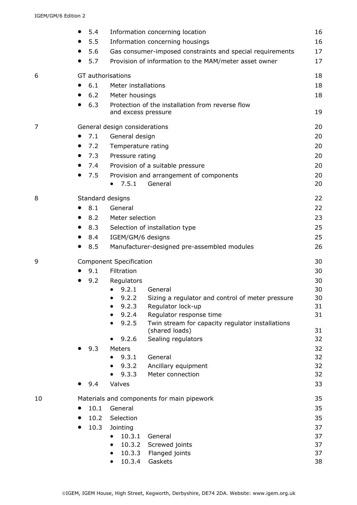|    | $\bullet$ | 5.4               |                                | Information concerning location                           | 16       |
|----|-----------|-------------------|--------------------------------|-----------------------------------------------------------|----------|
|    |           | 5.5               |                                | Information concerning housings                           | 16       |
|    | $\bullet$ | 5.6               |                                | Gas consumer-imposed constraints and special requirements | 17       |
|    |           | 5.7               |                                | Provision of information to the MAM/meter asset owner     | 17       |
| 6  |           | GT authorisations |                                |                                                           | 18       |
|    |           | 6.1               | Meter installations            |                                                           | 18       |
|    | $\bullet$ | 6.2               | Meter housings                 |                                                           | 18       |
|    | $\bullet$ | 6.3               |                                | Protection of the installation from reverse flow          |          |
|    |           |                   | and excess pressure            |                                                           | 19       |
| 7  |           |                   | General design considerations  |                                                           | 20       |
|    | $\bullet$ | 7.1               | General design                 |                                                           | 20       |
|    |           | 7.2               | Temperature rating             |                                                           | 20       |
|    |           | 7.3               | Pressure rating                |                                                           | 20       |
|    |           | 7.4               |                                | Provision of a suitable pressure                          | 20       |
|    | $\bullet$ | 7.5               |                                | Provision and arrangement of components                   | 20       |
|    |           |                   | 7.5.1                          | General                                                   | 20       |
| 8  |           | Standard designs  |                                |                                                           | 22       |
|    |           | 8.1               | General                        |                                                           | 22       |
|    |           | 8.2               | Meter selection                |                                                           | 23       |
|    | $\bullet$ | 8.3               |                                | Selection of installation type                            | 25       |
|    |           | 8.4               | IGEM/GM/6 designs              |                                                           | 25       |
|    |           | 8.5               |                                | Manufacturer-designed pre-assembled modules               | 26       |
| 9  |           |                   | <b>Component Specification</b> |                                                           | 30       |
|    |           | 9.1               | Filtration                     |                                                           | 30       |
|    |           | 9.2               | Regulators                     |                                                           | 30       |
|    |           |                   | 9.2.1                          | General                                                   | 30       |
|    |           |                   | 9.2.2                          | Sizing a regulator and control of meter pressure          | 30       |
|    |           |                   | 9.2.3                          | Regulator lock-up                                         | 31       |
|    |           |                   | 9.2.4                          | Regulator response time                                   | 31       |
|    |           |                   | 9.2.5                          | Twin stream for capacity regulator installations          |          |
|    |           |                   | 9.2.6                          | (shared loads)<br>Sealing regulators                      | 31<br>32 |
|    |           | 9.3               | Meters                         |                                                           | 32       |
|    |           |                   | 9.3.1                          | General                                                   | 32       |
|    |           |                   | 9.3.2                          | Ancillary equipment                                       | 32       |
|    |           |                   | 9.3.3                          | Meter connection                                          | 32       |
|    |           | 9.4               | Valves                         |                                                           | 33       |
| 10 |           |                   |                                | Materials and components for main pipework                | 35       |
|    |           | 10.1              | General                        |                                                           | 35       |
|    | $\bullet$ | 10.2              | Selection                      |                                                           | 35       |
|    |           | 10.3              | Jointing                       |                                                           | 37       |
|    |           |                   | 10.3.1                         | General                                                   | 37       |
|    |           |                   | 10.3.2                         | Screwed joints                                            | 37       |
|    |           |                   |                                | 10.3.3 Flanged joints                                     | 37       |
|    |           |                   | 10.3.4                         | Gaskets                                                   | 38       |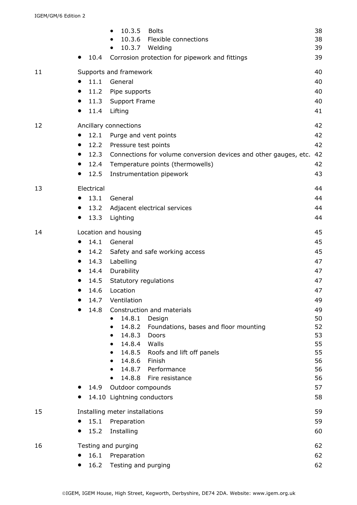|    | $\bullet$                  | 10.4       | 10.3.5<br><b>Bolts</b><br>10.3.6 Flexible connections<br>$\bullet$<br>10.3.7 Welding<br>Corrosion protection for pipework and fittings | 38<br>38<br>39<br>39 |  |  |
|----|----------------------------|------------|----------------------------------------------------------------------------------------------------------------------------------------|----------------------|--|--|
| 11 |                            |            | Supports and framework                                                                                                                 | 40                   |  |  |
|    |                            | 11.1       | General                                                                                                                                | 40                   |  |  |
|    | $\bullet$                  | 11.2       | Pipe supports                                                                                                                          | 40                   |  |  |
|    | $\bullet$                  |            | 11.3 Support Frame                                                                                                                     | 40                   |  |  |
|    | $\bullet$                  | 11.4       | Lifting                                                                                                                                | 41                   |  |  |
| 12 |                            |            | Ancillary connections                                                                                                                  | 42                   |  |  |
|    | $\bullet$                  | 12.1       | Purge and vent points                                                                                                                  | 42                   |  |  |
|    | $\bullet$                  |            | 12.2 Pressure test points                                                                                                              | 42                   |  |  |
|    | $\bullet$                  | 12.3       | Connections for volume conversion devices and other gauges, etc.                                                                       | 42                   |  |  |
|    |                            | 12.4       | Temperature points (thermowells)                                                                                                       | 42                   |  |  |
|    | $\bullet$                  | 12.5       | Instrumentation pipework                                                                                                               | 43                   |  |  |
| 13 |                            | Electrical |                                                                                                                                        | 44                   |  |  |
|    | $\bullet$                  | 13.1       | General                                                                                                                                | 44                   |  |  |
|    | $\bullet$                  | 13.2       | Adjacent electrical services                                                                                                           | 44                   |  |  |
|    | $\bullet$                  | 13.3       | Lighting                                                                                                                               | 44                   |  |  |
| 14 | Location and housing<br>45 |            |                                                                                                                                        |                      |  |  |
|    |                            | 14.1       | General                                                                                                                                | 45                   |  |  |
|    | $\bullet$                  | 14.2       | Safety and safe working access                                                                                                         | 45                   |  |  |
|    |                            | 14.3       | Labelling                                                                                                                              | 47                   |  |  |
|    |                            | 14.4       | Durability                                                                                                                             | 47                   |  |  |
|    |                            | 14.5       | Statutory regulations                                                                                                                  | 47                   |  |  |
|    |                            | 14.6       | Location                                                                                                                               | 47                   |  |  |
|    |                            | 14.7       | Ventilation                                                                                                                            | 49                   |  |  |
|    |                            | 14.8       | Construction and materials                                                                                                             | 49                   |  |  |
|    |                            |            | 14.8.1<br>Design<br>14.8.2                                                                                                             | 50<br>52             |  |  |
|    |                            |            | Foundations, bases and floor mounting<br>14.8.3<br>Doors                                                                               | 53                   |  |  |
|    |                            |            | 14.8.4 Walls                                                                                                                           | 55                   |  |  |
|    |                            |            | 14.8.5 Roofs and lift off panels<br>٠                                                                                                  | 55                   |  |  |
|    |                            |            | 14.8.6 Finish                                                                                                                          | 56                   |  |  |
|    |                            |            | 14.8.7 Performance<br>$\bullet$                                                                                                        | 56                   |  |  |
|    |                            |            | 14.8.8 Fire resistance<br>$\bullet$                                                                                                    | 56                   |  |  |
|    |                            | 14.9       | Outdoor compounds<br>14.10 Lightning conductors                                                                                        | 57<br>58             |  |  |
|    |                            |            |                                                                                                                                        |                      |  |  |
| 15 |                            |            | Installing meter installations                                                                                                         | 59                   |  |  |
|    |                            | 15.1       | Preparation                                                                                                                            | 59                   |  |  |
|    |                            | 15.2       | Installing                                                                                                                             | 60                   |  |  |
| 16 |                            |            | Testing and purging                                                                                                                    | 62                   |  |  |
|    |                            | 16.1       | Preparation                                                                                                                            | 62                   |  |  |
|    | $\bullet$                  | 16.2       | Testing and purging                                                                                                                    | 62                   |  |  |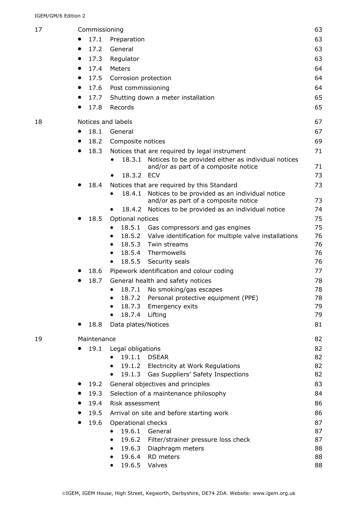| 17 |                   | Commissioning                                                                                         |          |  |  |  |  |
|----|-------------------|-------------------------------------------------------------------------------------------------------|----------|--|--|--|--|
|    | 17.1              | Preparation                                                                                           | 63       |  |  |  |  |
|    | 17.2<br>$\bullet$ | General                                                                                               | 63       |  |  |  |  |
|    | 17.3<br>$\bullet$ | Regulator                                                                                             | 63       |  |  |  |  |
|    | 17.4<br>$\bullet$ | Meters                                                                                                | 64       |  |  |  |  |
|    | 17.5<br>$\bullet$ | Corrosion protection                                                                                  | 64       |  |  |  |  |
|    | 17.6<br>$\bullet$ | Post commissioning                                                                                    |          |  |  |  |  |
|    | 17.7              | Shutting down a meter installation                                                                    |          |  |  |  |  |
|    | 17.8<br>$\bullet$ | Records                                                                                               |          |  |  |  |  |
| 18 |                   | Notices and labels                                                                                    |          |  |  |  |  |
|    | 18.1              | General                                                                                               | 67       |  |  |  |  |
|    | 18.2              | Composite notices                                                                                     | 69       |  |  |  |  |
|    | 18.3<br>$\bullet$ | Notices that are required by legal instrument                                                         | 71       |  |  |  |  |
|    |                   | Notices to be provided either as individual notices<br>18.3.1<br>and/or as part of a composite notice | 71       |  |  |  |  |
|    |                   | 18.3.2 ECV                                                                                            | 73       |  |  |  |  |
|    | 18.4              | Notices that are required by this Standard                                                            | 73       |  |  |  |  |
|    |                   | Notices to be provided as an individual notice<br>18.4.1<br>and/or as part of a composite notice      | 73       |  |  |  |  |
|    |                   | 18.4.2 Notices to be provided as an individual notice                                                 | 74       |  |  |  |  |
|    | 18.5<br>$\bullet$ | Optional notices                                                                                      | 75       |  |  |  |  |
|    |                   | 18.5.1<br>Gas compressors and gas engines                                                             | 75       |  |  |  |  |
|    |                   | 18.5.2 Valve identification for multiple valve installations<br>$\bullet$                             | 76       |  |  |  |  |
|    |                   | 18.5.3 Twin streams<br>$\bullet$                                                                      | 76       |  |  |  |  |
|    |                   | 18.5.4 Thermowells                                                                                    | 76       |  |  |  |  |
|    |                   | 18.5.5 Security seals<br>٠                                                                            | 76       |  |  |  |  |
|    | 18.6              | Pipework identification and colour coding                                                             | 77       |  |  |  |  |
|    | 18.7              | General health and safety notices                                                                     | 78       |  |  |  |  |
|    |                   | 18.7.1 No smoking/gas escapes<br>Personal protective equipment (PPE)                                  | 78       |  |  |  |  |
|    |                   | 18.7.2<br>18.7.3<br>Emergency exits                                                                   | 78<br>79 |  |  |  |  |
|    |                   | 18.7.4<br>Lifting                                                                                     | 79       |  |  |  |  |
|    | 18.8              | Data plates/Notices                                                                                   | 81       |  |  |  |  |
|    |                   |                                                                                                       |          |  |  |  |  |
| 19 | Maintenance       |                                                                                                       | 82       |  |  |  |  |
|    | 19.1              | Legal obligations<br>19.1.1<br><b>DSEAR</b>                                                           | 82       |  |  |  |  |
|    |                   | 19.1.2 Electricity at Work Regulations                                                                | 82<br>82 |  |  |  |  |
|    |                   | 19.1.3 Gas Suppliers' Safety Inspections<br>$\bullet$                                                 | 82       |  |  |  |  |
|    | 19.2              | General objectives and principles                                                                     | 83       |  |  |  |  |
|    | 19.3              | Selection of a maintenance philosophy                                                                 | 84       |  |  |  |  |
|    | 19.4              | Risk assessment                                                                                       | 86       |  |  |  |  |
|    | 19.5              | Arrival on site and before starting work                                                              | 86       |  |  |  |  |
|    | 19.6              | Operational checks                                                                                    | 87       |  |  |  |  |
|    |                   | 19.6.1<br>General                                                                                     | 87       |  |  |  |  |
|    |                   | 19.6.2<br>Filter/strainer pressure loss check                                                         | 87       |  |  |  |  |
|    |                   | 19.6.3<br>Diaphragm meters                                                                            | 88       |  |  |  |  |
|    |                   | 19.6.4 RD meters                                                                                      | 88       |  |  |  |  |
|    |                   | 19.6.5 Valves                                                                                         | 88       |  |  |  |  |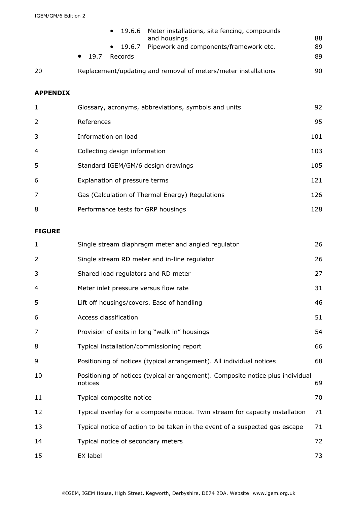|                 | 19.6.6<br>Meter installations, site fencing, compounds<br>$\bullet$<br>and housings<br>Pipework and components/framework etc.<br>19.6.7<br>٠<br>Records<br>19.7<br>$\bullet$ | 88<br>89<br>89 |  |
|-----------------|------------------------------------------------------------------------------------------------------------------------------------------------------------------------------|----------------|--|
| 20              | Replacement/updating and removal of meters/meter installations                                                                                                               | 90             |  |
| <b>APPENDIX</b> |                                                                                                                                                                              |                |  |
| 1               | Glossary, acronyms, abbreviations, symbols and units                                                                                                                         | 92             |  |
| 2               | 95<br>References                                                                                                                                                             |                |  |
| 3               | Information on load<br>101                                                                                                                                                   |                |  |
| 4               | 103<br>Collecting design information                                                                                                                                         |                |  |
| 5               | Standard IGEM/GM/6 design drawings                                                                                                                                           | 105            |  |
| 6               | Explanation of pressure terms                                                                                                                                                | 121            |  |
| 7               | Gas (Calculation of Thermal Energy) Regulations                                                                                                                              | 126            |  |
| 8               | Performance tests for GRP housings                                                                                                                                           | 128            |  |

#### **FIGURE**

| $\mathbf{1}$   | Single stream diaphragm meter and angled regulator                                        | 26 |
|----------------|-------------------------------------------------------------------------------------------|----|
| 2              | Single stream RD meter and in-line regulator                                              | 26 |
| 3              | Shared load regulators and RD meter                                                       | 27 |
| 4              | Meter inlet pressure versus flow rate                                                     | 31 |
| 5              | Lift off housings/covers. Ease of handling                                                | 46 |
| 6              | Access classification                                                                     | 51 |
| $\overline{7}$ | Provision of exits in long "walk in" housings                                             | 54 |
| 8              | Typical installation/commissioning report                                                 | 66 |
| 9              | Positioning of notices (typical arrangement). All individual notices                      | 68 |
| 10             | Positioning of notices (typical arrangement). Composite notice plus individual<br>notices | 69 |
| 11             | Typical composite notice                                                                  | 70 |
| 12             | Typical overlay for a composite notice. Twin stream for capacity installation             | 71 |
| 13             | Typical notice of action to be taken in the event of a suspected gas escape               | 71 |
| 14             | Typical notice of secondary meters                                                        | 72 |
| 15             | EX label                                                                                  | 73 |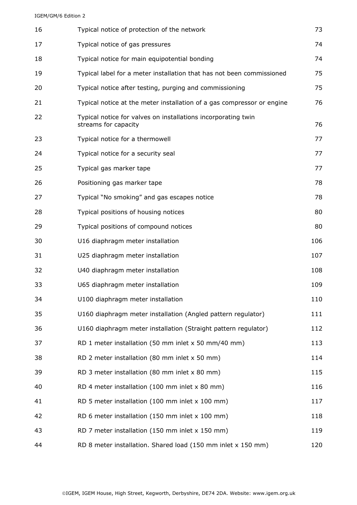#### IGEM/GM/6 Edition 2

| 16 | Typical notice of protection of the network                                           | 73  |
|----|---------------------------------------------------------------------------------------|-----|
| 17 | Typical notice of gas pressures                                                       | 74  |
| 18 | Typical notice for main equipotential bonding                                         | 74  |
| 19 | Typical label for a meter installation that has not been commissioned                 | 75  |
| 20 | Typical notice after testing, purging and commissioning                               | 75  |
| 21 | Typical notice at the meter installation of a gas compressor or engine                | 76  |
| 22 | Typical notice for valves on installations incorporating twin<br>streams for capacity | 76  |
| 23 | Typical notice for a thermowell                                                       | 77  |
| 24 | Typical notice for a security seal                                                    | 77  |
| 25 | Typical gas marker tape                                                               | 77  |
| 26 | Positioning gas marker tape                                                           | 78  |
| 27 | Typical "No smoking" and gas escapes notice                                           | 78  |
| 28 | Typical positions of housing notices                                                  | 80  |
| 29 | Typical positions of compound notices                                                 | 80  |
| 30 | U16 diaphragm meter installation                                                      | 106 |
| 31 | U25 diaphragm meter installation                                                      | 107 |
| 32 | U40 diaphragm meter installation                                                      | 108 |
| 33 | U65 diaphragm meter installation                                                      | 109 |
| 34 | U100 diaphragm meter installation                                                     | 110 |
| 35 | U160 diaphragm meter installation (Angled pattern regulator)                          | 111 |
| 36 | U160 diaphragm meter installation (Straight pattern regulator)                        | 112 |
| 37 | RD 1 meter installation (50 mm inlet x 50 mm/40 mm)                                   | 113 |
| 38 | RD 2 meter installation (80 mm inlet x 50 mm)                                         | 114 |
| 39 | RD 3 meter installation (80 mm inlet x 80 mm)                                         | 115 |
| 40 | RD 4 meter installation (100 mm inlet x 80 mm)                                        | 116 |
| 41 | RD 5 meter installation (100 mm inlet x 100 mm)                                       | 117 |
| 42 | RD 6 meter installation (150 mm inlet x 100 mm)                                       | 118 |
| 43 | RD 7 meter installation (150 mm inlet x 150 mm)                                       | 119 |
| 44 | RD 8 meter installation. Shared load (150 mm inlet x 150 mm)                          | 120 |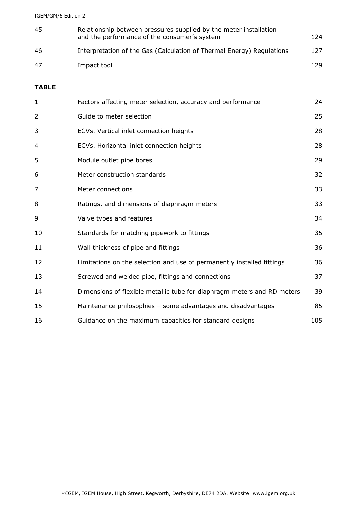IGEM/GM/6 Edition 2

| -45 | Relationship between pressures supplied by the meter installation<br>and the performance of the consumer's system | 124  |
|-----|-------------------------------------------------------------------------------------------------------------------|------|
| -46 | Interpretation of the Gas (Calculation of Thermal Energy) Regulations                                             | 127  |
| 47  | Impact tool                                                                                                       | 129. |

#### **TABLE**

| $\mathbf{1}$ | Factors affecting meter selection, accuracy and performance             | 24  |
|--------------|-------------------------------------------------------------------------|-----|
| 2            | Guide to meter selection                                                | 25  |
| 3            | ECVs. Vertical inlet connection heights                                 | 28  |
| 4            | ECVs. Horizontal inlet connection heights                               | 28  |
| 5            | Module outlet pipe bores                                                | 29  |
| 6            | Meter construction standards                                            | 32  |
| 7            | Meter connections                                                       | 33  |
| 8            | Ratings, and dimensions of diaphragm meters                             | 33  |
| 9            | Valve types and features                                                | 34  |
| 10           | Standards for matching pipework to fittings                             | 35  |
| 11           | Wall thickness of pipe and fittings                                     | 36  |
| 12           | Limitations on the selection and use of permanently installed fittings  | 36  |
| 13           | Screwed and welded pipe, fittings and connections                       | 37  |
| 14           | Dimensions of flexible metallic tube for diaphragm meters and RD meters | 39  |
| 15           | Maintenance philosophies - some advantages and disadvantages            | 85  |
| 16           | Guidance on the maximum capacities for standard designs                 | 105 |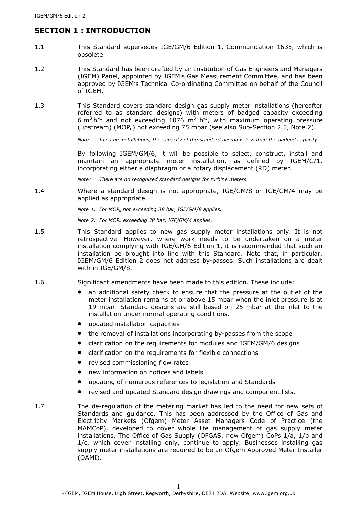# **SECTION 1 : INTRODUCTION**

- 1.1 This Standard supersedes IGE/GM/6 Edition 1, Communication 1635, which is obsolete.
- 1.2 This Standard has been drafted by an Institution of Gas Engineers and Managers (IGEM) Panel, appointed by IGEM's Gas Measurement Committee, and has been approved by IGEM's Technical Co-ordinating Committee on behalf of the Council of IGEM.
- 1.3 This Standard covers standard design gas supply meter installations (hereafter referred to as standard designs) with meters of badged capacity exceeding 6 m<sup>3</sup> h<sup>-1</sup> and not exceeding 1076 m<sup>3</sup> h<sup>-1</sup>, with maximum operating pressure (upstream) (MOP<sub>u</sub>) not exceeding 75 mbar (see also Sub-Section 2.5, Note 2).

*Note: In some installations, the capacity of the standard design is less than the badged capacity.* 

By following IGEM/GM/6, it will be possible to select, construct, install and maintain an appropriate meter installation, as defined by IGEM/G/1, incorporating either a diaphragm or a rotary displacement (RD) meter.

*Note: There are no recognised standard designs for turbine meters.* 

1.4 Where a standard design is not appropriate, IGE/GM/8 or IGE/GM/4 may be applied as appropriate.

*Note 1: For MOPu not exceeding 38 bar, IGE/GM/8 applies.* 

*Note 2: For MOPu exceeding 38 bar, IGE/GM/4 applies.* 

- 1.5 This Standard applies to new gas supply meter installations only. It is not retrospective. However, where work needs to be undertaken on a meter installation complying with IGE/GM/6 Edition 1, it is recommended that such an installation be brought into line with this Standard. Note that, in particular, IGEM/GM/6 Edition 2 does not address by-passes. Such installations are dealt with in IGE/GM/8.
- 1.6 Significant amendments have been made to this edition. These include:
	- an additional safety check to ensure that the pressure at the outlet of the meter installation remains at or above 15 mbar when the inlet pressure is at 19 mbar. Standard designs are still based on 25 mbar at the inlet to the installation under normal operating conditions.
	- updated installation capacities
	- the removal of installations incorporating by-passes from the scope
	- clarification on the requirements for modules and IGEM/GM/6 designs
	- clarification on the requirements for flexible connections
	- revised commissioning flow rates
	- new information on notices and labels
	- updating of numerous references to legislation and Standards
	- revised and updated Standard design drawings and component lists.
- 1.7 The de-regulation of the metering market has led to the need for new sets of Standards and guidance. This has been addressed by the Office of Gas and Electricity Markets (Ofgem) Meter Asset Managers Code of Practice (the MAMCoP), developed to cover whole life management of gas supply meter installations. The Office of Gas Supply (OFGAS, now Ofgem) CoPs 1/a, 1/b and 1/c, which cover installing only, continue to apply. Businesses installing gas supply meter installations are required to be an Ofgem Approved Meter Installer (OAMI).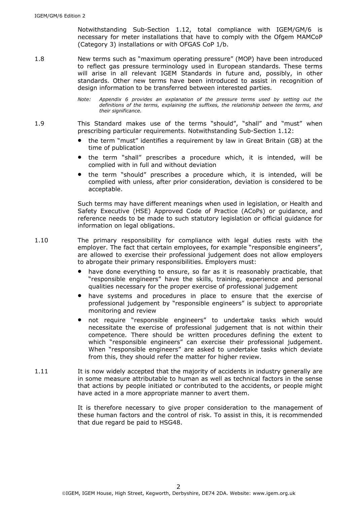Notwithstanding Sub-Section 1.12, total compliance with IGEM/GM/6 is necessary for meter installations that have to comply with the Ofgem MAMCoP (Category 3) installations or with OFGAS CoP 1/b.

- 1.8 New terms such as "maximum operating pressure" (MOP) have been introduced to reflect gas pressure terminology used in European standards. These terms will arise in all relevant IGEM Standards in future and, possibly, in other standards. Other new terms have been introduced to assist in recognition of design information to be transferred between interested parties.
	- *Note: Appendix 6 provides an explanation of the pressure terms used by setting out the definitions of the terms, explaining the suffixes, the relationship between the terms, and their significance.*
- 1.9 This Standard makes use of the terms "should", "shall" and "must" when prescribing particular requirements. Notwithstanding Sub-Section 1.12:
	- the term "must" identifies a requirement by law in Great Britain (GB) at the time of publication
	- the term "shall" prescribes a procedure which, it is intended, will be complied with in full and without deviation
	- the term "should" prescribes a procedure which, it is intended, will be complied with unless, after prior consideration, deviation is considered to be acceptable.

Such terms may have different meanings when used in legislation, or Health and Safety Executive (HSE) Approved Code of Practice (ACoPs) or guidance, and reference needs to be made to such statutory legislation or official guidance for information on legal obligations.

- 1.10 The primary responsibility for compliance with legal duties rests with the employer. The fact that certain employees, for example "responsible engineers", are allowed to exercise their professional judgement does not allow employers to abrogate their primary responsibilities. Employers must:
	- have done everything to ensure, so far as it is reasonably practicable, that "responsible engineers" have the skills, training, experience and personal qualities necessary for the proper exercise of professional judgement
	- have systems and procedures in place to ensure that the exercise of professional judgement by "responsible engineers" is subject to appropriate monitoring and review
	- not require "responsible engineers" to undertake tasks which would necessitate the exercise of professional judgement that is not within their competence. There should be written procedures defining the extent to which "responsible engineers" can exercise their professional judgement. When "responsible engineers" are asked to undertake tasks which deviate from this, they should refer the matter for higher review.
- 1.11 It is now widely accepted that the majority of accidents in industry generally are in some measure attributable to human as well as technical factors in the sense that actions by people initiated or contributed to the accidents, or people might have acted in a more appropriate manner to avert them.

It is therefore necessary to give proper consideration to the management of these human factors and the control of risk. To assist in this, it is recommended that due regard be paid to HSG48.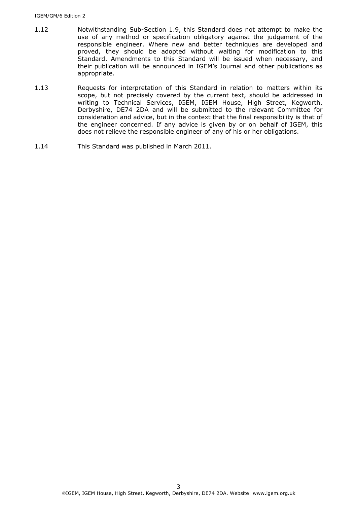- 1.12 Notwithstanding Sub-Section 1.9, this Standard does not attempt to make the use of any method or specification obligatory against the judgement of the responsible engineer. Where new and better techniques are developed and proved, they should be adopted without waiting for modification to this Standard. Amendments to this Standard will be issued when necessary, and their publication will be announced in IGEM's Journal and other publications as appropriate.
- 1.13 Requests for interpretation of this Standard in relation to matters within its scope, but not precisely covered by the current text, should be addressed in writing to Technical Services, IGEM, IGEM House, High Street, Kegworth, Derbyshire, DE74 2DA and will be submitted to the relevant Committee for consideration and advice, but in the context that the final responsibility is that of the engineer concerned. If any advice is given by or on behalf of IGEM, this does not relieve the responsible engineer of any of his or her obligations.
- 1.14 This Standard was published in March 2011.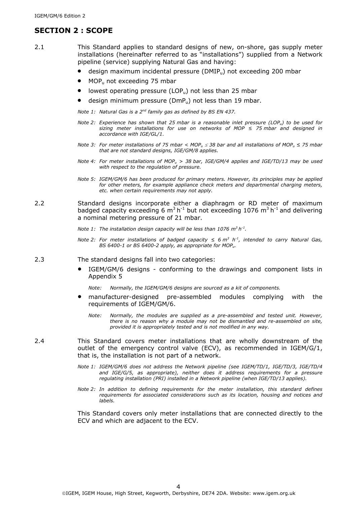### **SECTION 2 : SCOPE**

- 2.1 This Standard applies to standard designs of new, on-shore, gas supply meter installations (hereinafter referred to as "installations") supplied from a Network pipeline (service) supplying Natural Gas and having:
	- design maximum incidental pressure (DMIPu) not exceeding 200 mbar
	- $MOP<sub>u</sub>$  not exceeding 75 mbar
	- lowest operating pressure (LOP $_{\rm u}$ ) not less than 25 mbar
	- design minimum pressure ( $DmP_u$ ) not less than 19 mbar.

*Note 1: Natural Gas is a 2nd family gas as defined by BS EN 437.* 

- *Note 2: Experience has shown that 25 mbar is a reasonable inlet pressure (LOPu) to be used for sizing meter installations for use on networks of MOP ≤ 75 mbar and designed in accordance with IGE/GL/1.*
- *Note 3: For meter installations of 75 mbar < MOPu 38 bar and all installations of MOPu ≤ 75 mbar that are not standard designs, IGE/GM/8 applies.*
- *Note 4: For meter installations of MOPu > 38 bar, IGE/GM/4 applies and IGE/TD/13 may be used with respect to the regulation of pressure.*
- *Note 5: IGEM/GM/6 has been produced for primary meters. However, its principles may be applied for other meters, for example appliance check meters and departmental charging meters, etc. when certain requirements may not apply.*
- 2.2 Standard designs incorporate either a diaphragm or RD meter of maximum badged capacity exceeding 6  $\text{m}^3$  h<sup>-1</sup> but not exceeding 1076  $\text{m}^3$  h<sup>-1</sup> and delivering a nominal metering pressure of 21 mbar.

*Note 1:* The installation design capacity will be less than 1076 m<sup>3</sup> h<sup>-1</sup>.

- *Note 2: For meter installations of badged capacity ≤ 6 m<sup>3</sup> h<sup>-1</sup>, intended to carry Natural Gas, BS 6400-1 or BS 6400-2 apply, as appropriate for MOPu.*
- 2.3 The standard designs fall into two categories:
	- IGEM/GM/6 designs conforming to the drawings and component lists in Appendix 5

*Note: Normally, the IGEM/GM/6 designs are sourced as a kit of components.* 

- manufacturer-designed pre-assembled modules complying with the requirements of IGEM/GM/6.
	- *Note: Normally, the modules are supplied as a pre-assembled and tested unit. However, there is no reason why a module may not be dismantled and re-assembled on site, provided it is appropriately tested and is not modified in any way.*
- 2.4 This Standard covers meter installations that are wholly downstream of the outlet of the emergency control valve (ECV), as recommended in IGEM/G/1, that is, the installation is not part of a network.
	- *Note 1: IGEM/GM/6 does not address the Network pipeline (see IGEM/TD/1, IGE/TD/3, IGE/TD/4 and IGE/G/5, as appropriate), neither does it address requirements for a pressure regulating installation (PRI) installed in a Network pipeline (when IGE/TD/13 applies).*
	- *Note 2: In addition to defining requirements for the meter installation, this standard defines requirements for associated considerations such as its location, housing and notices and labels.*

This Standard covers only meter installations that are connected directly to the ECV and which are adjacent to the ECV.